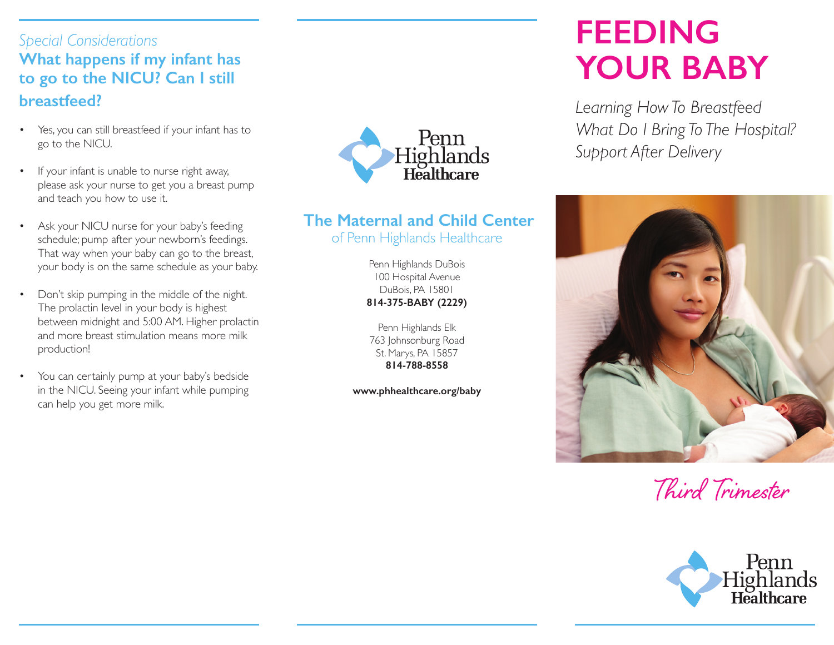## *Special Considerations* **What happens if my infant has to go to the NICU? Can I still breastfeed?**

- Yes, you can still breastfeed if your infant has to go to the NICU.
- If your infant is unable to nurse right away, please ask your nurse to get you a breast pump and teach you how to use it.
- Ask your NICU nurse for your baby's feeding schedule; pump after your newborn's feedings. That way when your baby can go to the breast, your body is on the same schedule as your baby.
- Don't skip pumping in the middle of the night. The prolactin level in your body is highest between midnight and 5:00 AM. Higher prolactin and more breast stimulation means more milk production!
- You can certainly pump at your baby's bedside in the NICU. Seeing your infant while pumping can help you get more milk.



#### **The Maternal and Child Center** of Penn Highlands Healthcare

Penn Highlands DuBois 100 Hospital Avenue DuBois, PA 15801 **814-375-BABY (2229)**

Penn Highlands Elk 763 Johnsonburg Road St. Marys, PA 15857 **814-788-8558**

**www.phhealthcare.org/baby**

# **FEEDING YOUR BABY**

*Learning How To Breastfeed What Do I Bring To The Hospital? Support After Delivery*



Third Trimester